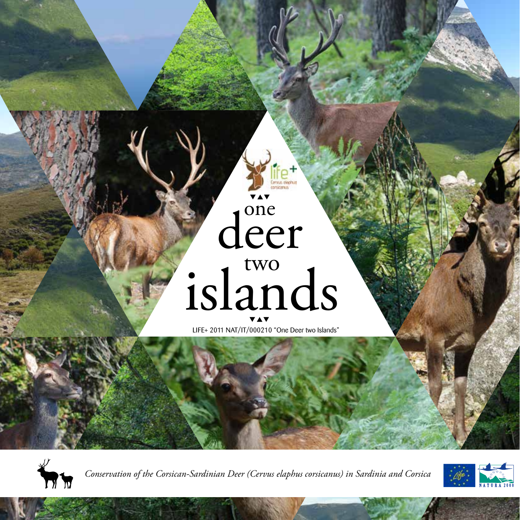# deer islands

LIFE+ 2011 NAT/IT/000210 "One Deer two Islands"



*Conservation of the Corsican-Sardinian Deer (Cervus elaphus corsicanus) in Sardinia and Corsica*

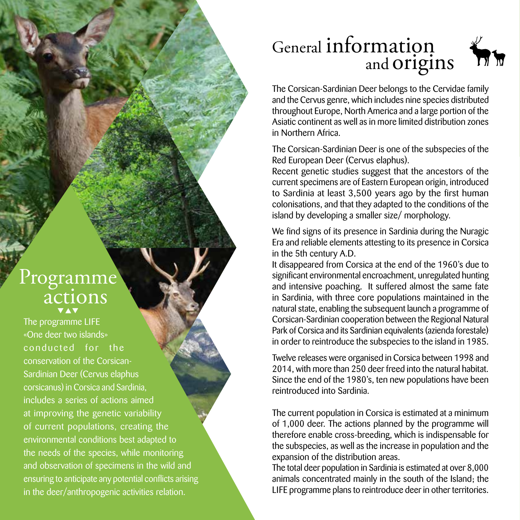## Programme<br>actions

The programme LIFE «One deer two islands» conducted for the conservation of the Corsican-Sardinian Deer (Cervus elaphus corsicanus) in Corsica and Sardinia, includes a series of actions aimed at improving the genetic variability of current populations, creating the environmental conditions best adapted to the needs of the species, while monitoring and observation of specimens in the wild and ensuring to anticipate any potential conflicts arising in the deer/anthropogenic activities relation.

## General information and origins



The Corsican-Sardinian Deer belongs to the Cervidae family and the Cervus genre, which includes nine species distributed throughout Europe, North America and a large portion of the Asiatic continent as well as in more limited distribution zones in Northern Africa.

The Corsican-Sardinian Deer is one of the subspecies of the Red European Deer (Cervus elaphus).

Recent genetic studies suggest that the ancestors of the current specimens are of Eastern European origin, introduced to Sardinia at least 3,500 years ago by the first human colonisations, and that they adapted to the conditions of the island by developing a smaller size/ morphology.

We find signs of its presence in Sardinia during the Nuragic Era and reliable elements attesting to its presence in Corsica in the 5th century A.D.

It disappeared from Corsica at the end of the 1960's due to significant environmental encroachment, unregulated hunting and intensive poaching. It suffered almost the same fate in Sardinia, with three core populations maintained in the natural state, enabling the subsequent launch a programme of Corsican-Sardinian cooperation between the Regional Natural Park of Corsica and its Sardinian equivalents (azienda forestale) in order to reintroduce the subspecies to the island in 1985.

Twelve releases were organised in Corsica between 1998 and 2014, with more than 250 deer freed into the natural habitat. Since the end of the 1980's, ten new populations have been reintroduced into Sardinia.

The current population in Corsica is estimated at a minimum of 1,000 deer. The actions planned by the programme will therefore enable cross-breeding, which is indispensable for the subspecies, as well as the increase in population and the expansion of the distribution areas.

The total deer population in Sardinia is estimated at over 8,000 animals concentrated mainly in the south of the Island; the LIFE programme plans to reintroduce deer in other territories.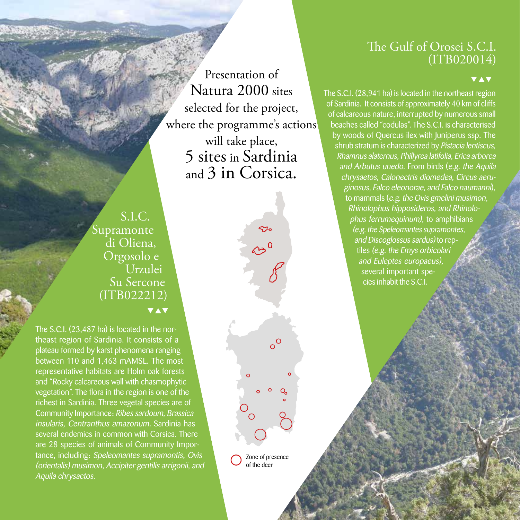#### The Gulf of Orosei S.C.I. (ITB020014)

v

The S.C.I. (28,941 ha) is located in the northeast region of Sardinia. It consists of approximately 40 km of cliffs of calcareous nature, interrupted by numerous small beaches called "codulas". The S.C.I. is characterised by woods of Quercus ilex with Juniperus ssp. The shrub stratum is characterized by Pistacia lentiscus, Rhamnus alaternus, Phillyrea latifolia, Erica arborea and Arbutus unedo. From birds (e.g. the Aquila chrysaetos, Calonectris diomedea, Circus aeruginosus, Falco eleonorae, and Falco naumanni), to mammals (e.g. the Ovis gmelini musimon, Rhinolophus hipposideros, and Rhinolophus ferrumequinum), to amphibians (e.g. the Speleomantes supramontes, and Discoglossus sardus) to reptiles (e.g. the Emys orbicolari and Euleptes europaeus), several important species inhabit the S.C.I.

Presentation of Natura 2000 sites selected for the project, where the programme's actions will take place, 5 sites in Sardinia and 3 in Corsica.

ಳು

 $\sim$ <sup>0</sup>

 $\circ^{\circ}$ 

S.I.C. Supramonte di Oliena, Orgosolo e Urzulei Su Sercone (ITB022212) **VAV** 

The S.C.I. (23,487 ha) is located in the northeast region of Sardinia. It consists of a plateau formed by karst phenomena ranging between 110 and 1,463 mAMSL. The most representative habitats are Holm oak forests and "Rocky calcareous wall with chasmophytic vegetation". The flora in the region is one of the richest in Sardinia. Three vegetal species are of Community Importance: Ribes sardoum, Brassica insularis, Centranthus amazonum. Sardinia has several endemics in common with Corsica. There are 28 species of animals of Community Importance, including: Speleomantes supramontis, Ovis (orientalis) musimon, Accipiter gentilis arrigonii, and Aquila chrysaetos.

Zone of presence of the deer

 $\sim$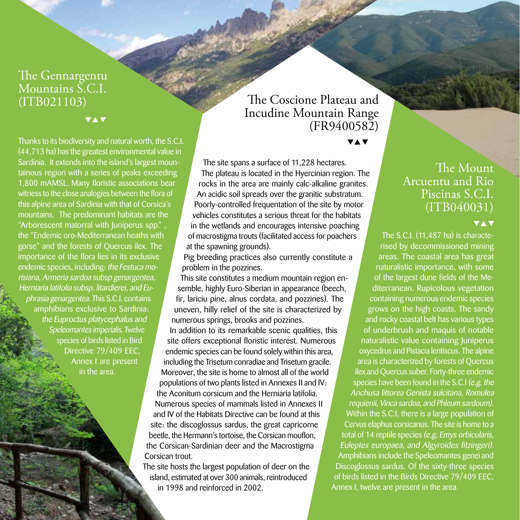## The Gennargentu Mountains S.C.I.<br>(ITB021103)

**VAV** 

Thanks to its biodiversity and natural worth, the S.C.I. (44,713 ha) has the greatest environmental value in Sardinia. It extends into the island's largest mountainous region with a series of peaks exceeding 1,800 mAMSL. Many floristic associations bear witness to the close analogies between the flora of this alpine area of Sardinia with that of Corsica's mountains. The predominant habitats are the "Arborescent matorral with Juniperus spp." , the "Endemic oro-Mediterranean heaths with gorse" and the forests of Quercus ilex. The importance of the flora lies in its exclusive endemic species, including: the Festuca morisiana, Armeria sardoa subsp genargentea, Herniaria latifolia subsp. litardierei, and Euphrasia genargentea. This S.C.I. contains amphibians exclusive to Sardinia: the Euproctus platycephalus and Speleomantes imperialis. Twelve species of birds listed in Bird Directive 79/409 EEC, Annex I are present in the area.

#### The Coscione Plateau and Incudine Mountain Range (FR9400582)

**VAV** 

The site spans a surface of 11,228 hectares. The plateau is located in the Hyercinian region. The rocks in the area are mainly calc-alkaline granites. An acidic soil spreads over the granitic substratum. Poorly-controlled frequentation of the site by motor vehicles constitutes a serious threat for the habitats in the wetlands and encourages intensive poaching of macrostigma trouts (facilitated access for poachers at the spawning grounds).

Pig breeding practices also currently constitute a problem in the pozzines.

This site constitutes a medium mountain region ensemble, highly Euro-Siberian in appearance (beech, fir, lariciu pine, alnus cordata, and pozzines). The uneven, hilly relief of the site is characterized by numerous springs, brooks and pozzines. In addition to its remarkable scenic qualities, this site offers exceptional floristic interest. Numerous endemic species can be found solely within this area, including the Trisetum conradiae and Trisetum gracile. Moreover, the site is home to almost all of the world populations of two plants listed in Annexes II and IV: the Aconitum corsicum and the Herniaria latifolia. Numerous species of mammals listed in Annexes II and IV of the Habitats Directive can be found at this site: the discoglossus sardus, the great capricorne beetle, the Hermann's tortoise, the Corsican mouflon, the Corsican-Sardinian deer and the Macrostigma Corsican trout.

The site hosts the largest population of deer on the island, estimated at over 300 animals, reintroduced in 1998 and reinforced in 2002.

#### The Mount Arcuentu and Rio Piscinas S.C.I. (ITB040031)

#### **VAV**

The S.C.I. (11,487 ha) is characterised by decommissioned mining areas. The coastal area has great naturalistic importance, with some of the largest dune fields of the Mediterranean. Rupicolous vegetation containing numerous endemic species grows on the high coasts. The sandy and rocky coastal belt has various types of underbrush and maquis of notable naturalistic value containing Juniperus oxycedrus and Pistacia lentiscus. The alpine area is characterized by forests of Quercus ilex and Quercus suber. Forty-three endemic species have been found in the S.C.I (e.g. the Anchusa littorea Genista sulcitana, Romulea requienii, Vinca sardoa, and Phleum sardoum). Within the S.C.I, there is a large population of Cervus elaphus corsicanus. The site is home to a total of 14 reptile species (e.g. Emys orbicularis, Euleptes europaea, and Algyroides fitzingeri). Amphibians include the Speleomantes genei and Discoglossus sardus. Of the sixty-three species of birds listed in the Birds Directive 79/409 EEC, Annex I, twelve are present in the area.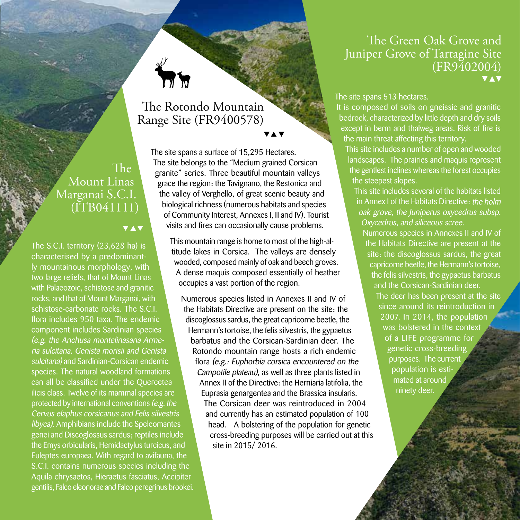#### The Rotondo Mountain Range Site (FR9400578)

The Mount Linas Marganai S.C.I.  $(TB041111)$ 

#### **VAV**

The S.C.I. territory (23,628 ha) is characterised by a predominantly mountainous morphology, with two large reliefs, that of Mount Linas with Palaeozoic, schistose and granitic rocks, and that of Mount Marganai, with schistose-carbonate rocks. The S.C.I. flora includes 950 taxa. The endemic component includes Sardinian species (e.g. the Anchusa montelinasana Armeria sulcitana, Genista morisii and Genista sulcitana) and Sardinian-Corsican endemic species. The natural woodland formations can all be classified under the Quercetea ilicis class. Twelve of its mammal species are protected by international conventions (e.g. the Cervus elaphus corsicanus and Felis silvestris libyca). Amphibians include the Speleomantes genei and Discoglossus sardus; reptiles include the Emys orbicularis, Hemidactylus turcicus, and Euleptes europaea. With regard to avifauna, the S.C.I. contains numerous species including the Aquila chrysaetos, Hieraetus fasciatus, Accipiter gentilis, Falco eleonorae and Falco peregrinus brookei.

The site spans a surface of 15,295 Hectares. The site belongs to the "Medium grained Corsican granite" series. Three beautiful mountain valleys grace the region: the Tavignano, the Restonica and the valley of Verghello, of great scenic beauty and biological richness (numerous habitats and species of Community Interest, Annexes I, II and IV). Tourist visits and fires can occasionally cause problems.

> This mountain range is home to most of the high-altitude lakes in Corsica. The valleys are densely wooded, composed mainly of oak and beech groves. A dense maquis composed essentially of heather occupies a vast portion of the region.

Numerous species listed in Annexes II and IV of the Habitats Directive are present on the site: the discoglossus sardus, the great capricorne beetle, the Hermann's tortoise, the felis silvestris, the gypaetus barbatus and the Corsican-Sardinian deer. The Rotondo mountain range hosts a rich endemic flora (e.g.: Euphorbia corsica encountered on the Campotile plateau), as well as three plants listed in Annex II of the Directive: the Herniaria latifolia, the Euprasia genargentea and the Brassica insularis. The Corsican deer was reintroduced in 2004 and currently has an estimated population of 100 head. A bolstering of the population for genetic cross-breeding purposes will be carried out at this site in 2015/ 2016.

#### The Green Oak Grove and Juniper Grove of Tartagine Site  $(FR9402004)$

The site spans 513 hectares.

It is composed of soils on gneissic and granitic bedrock, characterized by little depth and dry soils except in berm and thalweg areas. Risk of fire is the main threat affecting this territory.

This site includes a number of open and wooded landscapes. The prairies and maquis represent the gentlest inclines whereas the forest occupies the steepest slopes.

This site includes several of the habitats listed in Annex I of the Habitats Directive: the holm oak grove, the Juniperus oxycedrus subsp. Oxycedrus, and siliceous scree.

Numerous species in Annexes II and IV of the Habitats Directive are present at the site: the discoglossus sardus, the great capricorne beetle, the Hermann's tortoise, the felis silvestris, the gypaetus barbatus and the Corsican-Sardinian deer.

The deer has been present at the site since around its reintroduction in 2007. In 2014, the population was bolstered in the context of a LIFE programme for genetic cross-breeding purposes. The current population is estimated at around ninety deer.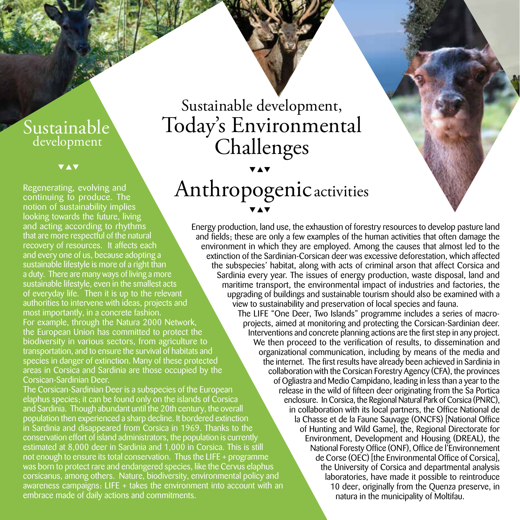#### development Sustainable

**VAV** 

Regenerating, evolving and continuing to produce. The notion of sustainability implies looking towards the future, living and acting according to rhythms that are more respectful of the natural recovery of resources. It affects each and every one of us, because adopting a sustainable lifestyle is more of a right than a duty. There are many ways of living a more sustainable lifestyle, even in the smallest acts of everyday life. Then it is up to the relevant authorities to intervene with ideas, projects and most importantly, in a concrete fashion. For example, through the Natura 2000 Network, the European Union has committed to protect the biodiversity in various sectors, from agriculture to transportation, and to ensure the survival of habitats and species in danger of extinction. Many of these protected areas in Corsica and Sardinia are those occupied by the Corsican-Sardinian Deer.

The Corsican-Sardinian Deer is a subspecies of the European elaphus species; it can be found only on the islands of Corsica and Sardinia. Though abundant until the 20th century, the overall population then experienced a sharp decline. It bordered extinction in Sardinia and disappeared from Corsica in 1969. Thanks to the conservation effort of island administrators, the population is currently estimated at 8,000 deer in Sardinia and 1,000 in Corsica. This is still not enough to ensure its total conservation. Thus the LIFE + programme was born to protect rare and endangered species, like the Cervus elaphus corsicanus, among others. Nature, biodiversity, environmental policy and awareness campaigns: LIFE + takes the environment into account with an embrace made of daily actions and commitments.

## Sustainable development, Today's Environmental Challenges

## Anthropogenic activities

Energy production, land use, the exhaustion of forestry resources to develop pasture land and fields; these are only a few examples of the human activities that often damage the environment in which they are employed. Among the causes that almost led to the extinction of the Sardinian-Corsican deer was excessive deforestation, which affected the subspecies' habitat, along with acts of criminal arson that affect Corsica and Sardinia every year. The issues of energy production, waste disposal, land and maritime transport, the environmental impact of industries and factories, the upgrading of buildings and sustainable tourism should also be examined with a view to sustainability and preservation of local species and fauna.

The LIFE "One Deer, Two Islands" programme includes a series of macroprojects, aimed at monitoring and protecting the Corsican-Sardinian deer. Interventions and concrete planning actions are the first step in any project. We then proceed to the verification of results, to dissemination and organizational communication, including by means of the media and the internet. The first results have already been achieved in Sardinia in collaboration with the Corsican Forestry Agency (CFA), the provinces of Ogliastra and Medio Campidano, leading in less than a year to the release in the wild of fifteen deer originating from the Sa Portica enclosure. In Corsica, the Regional Natural Park of Corsica (PNRC), in collaboration with its local partners, the Office National de la Chasse et de la Faune Sauvage (ONCFS) [National Office of Hunting and Wild Game], the, Regional Directorate for Environment, Development and Housing (DREAL), the National Foresty Office (ONF), Office de l'Environnement de Corse (OEC) [the Environmental Office of Corsica], the University of Corsica and departmental analysis laboratories, have made it possible to reintroduce 10 deer, originally from the Quenza preserve, in natura in the municipality of Moltifau.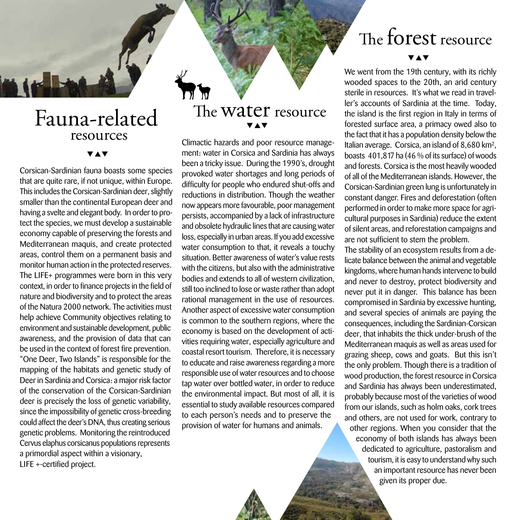## resources Fauna-related

Corsican-Sardinian fauna boasts some species that are quite rare, if not unique, within Europe. This includes the Corsican-Sardinian deer, slightly smaller than the continental European deer and having a svelte and elegant body. In order to protect the species, we must develop a sustainable economy capable of preserving the forests and Mediterranean maquis, and create protected areas, control them on a permanent basis and monitor human action in the protected reserves. The LIFE+ programmes were born in this very context, in order to finance projects in the field of nature and biodiversity and to protect the areas of the Natura 2000 network. The activities must help achieve Community objectives relating to environment and sustainable development, public awareness, and the provision of data that can be used in the context of forest fire prevention. "One Deer, Two Islands" is responsible for the mapping of the habitats and genetic study of Deer in Sardinia and Corsica: a major risk factor of the conservation of the Corsican-Sardinian deer is precisely the loss of genetic variability, since the impossibility of genetic cross-breeding could affect the deer's DNA, thus creating serious genetic problems. Monitoring the reintroduced Cervus elaphus corsicanus populations represents a primordial aspect within a visionary, LIFE +-certified project.

## The W<mark>ater</mark> resource

Climactic hazards and poor resource management: water in Corsica and Sardinia has always been a tricky issue. During the 1990's, drought provoked water shortages and long periods of difficulty for people who endured shut-offs and reductions in distribution. Though the weather now appears more favourable, poor management persists, accompanied by a lack of infrastructure and obsolete hydraulic lines that are causing water loss, especially in urban areas. If you add excessive water consumption to that, it reveals a touchy situation. Better awareness of water's value rests with the citizens, but also with the administrative bodies and extends to all of western civilization, still too inclined to lose or waste rather than adopt rational management in the use of resources. Another aspect of excessive water consumption is common to the southern regions, where the economy is based on the development of activities requiring water, especially agriculture and coastal resort tourism. Therefore, it is necessary to educate and raise awareness regarding a more responsible use of water resources and to choose tap water over bottled water, in order to reduce the environmental impact. But most of all, it is essential to study available resources compared to each person's needs and to preserve the provision of water for humans and animals.

## The  ${\rm forest}$  resource

We went from the 19th century, with its richly wooded spaces to the 20th, an arid century sterile in resources. It's what we read in traveller's accounts of Sardinia at the time. Today, the island is the first region in Italy in terms of forested surface area, a primacy owed also to the fact that it has a population density below the Italian average. Corsica, an island of 8,680 km², boasts 401,817 ha (46 % of its surface) of woods and forests. Corsica is the most heavily wooded of all of the Mediterranean islands. However, the Corsican-Sardinian green lung is unfortunately in constant danger. Fires and deforestation (often performed in order to make more space for agricultural purposes in Sardinia) reduce the extent of silent areas, and reforestation campaigns and are not sufficient to stem the problem.

The stability of an ecosystem results from a delicate balance between the animal and vegetable kingdoms, where human hands intervene to build and never to destroy, protect biodiversity and never put it in danger. This balance has been compromised in Sardinia by excessive hunting, and several species of animals are paying the consequences, including the Sardinian-Corsican deer, that inhabits the thick under-brush of the Mediterranean maquis as well as areas used for grazing sheep, cows and goats. But this isn't the only problem. Though there is a tradition of wood production, the forest resource in Corsica and Sardinia has always been underestimated, probably because most of the varieties of wood from our islands, such as holm oaks, cork trees and others, are not used for work, contrary to other regions. When you consider that the economy of both islands has always been dedicated to agriculture, pastoralism and tourism, it is easy to understand why such an important resource has never been given its proper due.